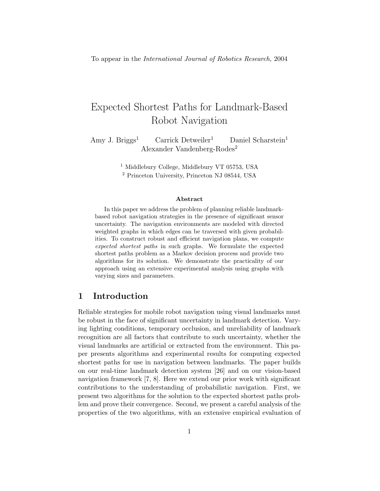# Expected Shortest Paths for Landmark-Based Robot Navigation

Amy J. Briggs<sup>1</sup> Carrick Detweiler<sup>1</sup> Daniel Scharstein<sup>1</sup> Alexander Vandenberg-Rodes<sup>2</sup>

> <sup>1</sup> Middlebury College, Middlebury VT 05753, USA <sup>2</sup> Princeton University, Princeton NJ 08544, USA

#### **Abstract**

In this paper we address the problem of planning reliable landmarkbased robot navigation strategies in the presence of significant sensor uncertainty. The navigation environments are modeled with directed weighted graphs in which edges can be traversed with given probabilities. To construct robust and efficient navigation plans, we compute *expected shortest paths* in such graphs. We formulate the expected shortest paths problem as a Markov decision process and provide two algorithms for its solution. We demonstrate the practicality of our approach using an extensive experimental analysis using graphs with varying sizes and parameters.

# **1 Introduction**

Reliable strategies for mobile robot navigation using visual landmarks must be robust in the face of significant uncertainty in landmark detection. Varying lighting conditions, temporary occlusion, and unreliability of landmark recognition are all factors that contribute to such uncertainty, whether the visual landmarks are artificial or extracted from the environment. This paper presents algorithms and experimental results for computing expected shortest paths for use in navigation between landmarks. The paper builds on our real-time landmark detection system [26] and on our vision-based navigation framework [7, 8]. Here we extend our prior work with significant contributions to the understanding of probabilistic navigation. First, we present two algorithms for the solution to the expected shortest paths problem and prove their convergence. Second, we present a careful analysis of the properties of the two algorithms, with an extensive empirical evaluation of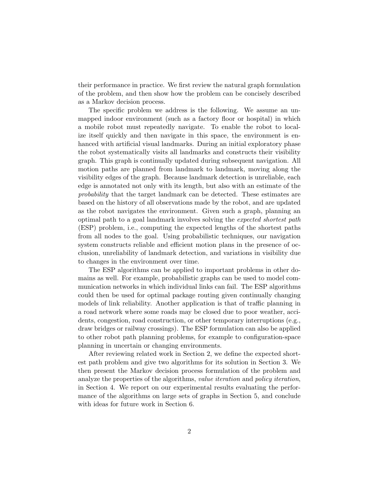their performance in practice. We first review the natural graph formulation of the problem, and then show how the problem can be concisely described as a Markov decision process.

The specific problem we address is the following. We assume an unmapped indoor environment (such as a factory floor or hospital) in which a mobile robot must repeatedly navigate. To enable the robot to localize itself quickly and then navigate in this space, the environment is enhanced with artificial visual landmarks. During an initial exploratory phase the robot systematically visits all landmarks and constructs their visibility graph. This graph is continually updated during subsequent navigation. All motion paths are planned from landmark to landmark, moving along the visibility edges of the graph. Because landmark detection is unreliable, each edge is annotated not only with its length, but also with an estimate of the *probability* that the target landmark can be detected. These estimates are based on the history of all observations made by the robot, and are updated as the robot navigates the environment. Given such a graph, planning an optimal path to a goal landmark involves solving the *expected shortest path* (ESP) problem, i.e., computing the expected lengths of the shortest paths from all nodes to the goal. Using probabilistic techniques, our navigation system constructs reliable and efficient motion plans in the presence of occlusion, unreliability of landmark detection, and variations in visibility due to changes in the environment over time.

The ESP algorithms can be applied to important problems in other domains as well. For example, probabilistic graphs can be used to model communication networks in which individual links can fail. The ESP algorithms could then be used for optimal package routing given continually changing models of link reliability. Another application is that of traffic planning in a road network where some roads may be closed due to poor weather, accidents, congestion, road construction, or other temporary interruptions (e.g., draw bridges or railway crossings). The ESP formulation can also be applied to other robot path planning problems, for example to configuration-space planning in uncertain or changing environments.

After reviewing related work in Section 2, we define the expected shortest path problem and give two algorithms for its solution in Section 3. We then present the Markov decision process formulation of the problem and analyze the properties of the algorithms, *value iteration* and *policy iteration*, in Section 4. We report on our experimental results evaluating the performance of the algorithms on large sets of graphs in Section 5, and conclude with ideas for future work in Section 6.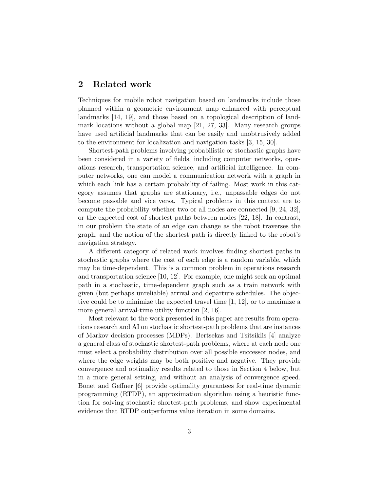# **2 Related work**

Techniques for mobile robot navigation based on landmarks include those planned within a geometric environment map enhanced with perceptual landmarks [14, 19], and those based on a topological description of landmark locations without a global map [21, 27, 33]. Many research groups have used artificial landmarks that can be easily and unobtrusively added to the environment for localization and navigation tasks [3, 15, 30].

Shortest-path problems involving probabilistic or stochastic graphs have been considered in a variety of fields, including computer networks, operations research, transportation science, and artificial intelligence. In computer networks, one can model a communication network with a graph in which each link has a certain probability of failing. Most work in this category assumes that graphs are stationary, i.e., unpassable edges do not become passable and vice versa. Typical problems in this context are to compute the probability whether two or all nodes are connected [9, 24, 32], or the expected cost of shortest paths between nodes [22, 18]. In contrast, in our problem the state of an edge can change as the robot traverses the graph, and the notion of the shortest path is directly linked to the robot's navigation strategy.

A different category of related work involves finding shortest paths in stochastic graphs where the cost of each edge is a random variable, which may be time-dependent. This is a common problem in operations research and transportation science [10, 12]. For example, one might seek an optimal path in a stochastic, time-dependent graph such as a train network with given (but perhaps unreliable) arrival and departure schedules. The objective could be to minimize the expected travel time [1, 12], or to maximize a more general arrival-time utility function [2, 16].

Most relevant to the work presented in this paper are results from operations research and AI on stochastic shortest-path problems that are instances of Markov decision processes (MDPs). Bertsekas and Tsitsiklis [4] analyze a general class of stochastic shortest-path problems, where at each node one must select a probability distribution over all possible successor nodes, and where the edge weights may be both positive and negative. They provide convergence and optimality results related to those in Section 4 below, but in a more general setting, and without an analysis of convergence speed. Bonet and Geffner [6] provide optimality guarantees for real-time dynamic programming (RTDP), an approximation algorithm using a heuristic function for solving stochastic shortest-path problems, and show experimental evidence that RTDP outperforms value iteration in some domains.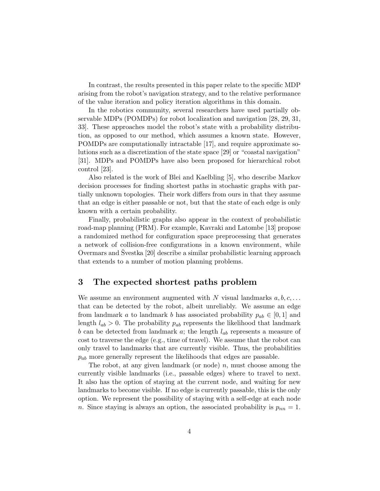In contrast, the results presented in this paper relate to the specific MDP arising from the robot's navigation strategy, and to the relative performance of the value iteration and policy iteration algorithms in this domain.

In the robotics community, several researchers have used partially observable MDPs (POMDPs) for robot localization and navigation [28, 29, 31, 33]. These approaches model the robot's state with a probability distribution, as opposed to our method, which assumes a known state. However, POMDPs are computationally intractable [17], and require approximate solutions such as a discretization of the state space [29] or "coastal navigation" [31]. MDPs and POMDPs have also been proposed for hierarchical robot control [23].

Also related is the work of Blei and Kaelbling [5], who describe Markov decision processes for finding shortest paths in stochastic graphs with partially unknown topologies. Their work differs from ours in that they assume that an edge is either passable or not, but that the state of each edge is only known with a certain probability.

Finally, probabilistic graphs also appear in the context of probabilistic road-map planning (PRM). For example, Kavraki and Latombe [13] propose a randomized method for configuration space preprocessing that generates a network of collision-free configurations in a known environment, while Overmars and Svestka  $[20]$  describe a similar probabilistic learning approach that extends to a number of motion planning problems.

# **3 The expected shortest paths problem**

We assume an environment augmented with N visual landmarks  $a, b, c, \ldots$ that can be detected by the robot, albeit unreliably. We assume an edge from landmark a to landmark b has associated probability  $p_{ab} \in [0, 1]$  and length  $l_{ab} > 0$ . The probability  $p_{ab}$  represents the likelihood that landmark b can be detected from landmark a; the length  $l_{ab}$  represents a measure of cost to traverse the edge (e.g., time of travel). We assume that the robot can only travel to landmarks that are currently visible. Thus, the probabilities  $p_{ab}$  more generally represent the likelihoods that edges are passable.

The robot, at any given landmark (or node)  $n$ , must choose among the currently visible landmarks (i.e., passable edges) where to travel to next. It also has the option of staying at the current node, and waiting for new landmarks to become visible. If no edge is currently passable, this is the only option. We represent the possibility of staying with a self-edge at each node n. Since staying is always an option, the associated probability is  $p_{nn} = 1$ .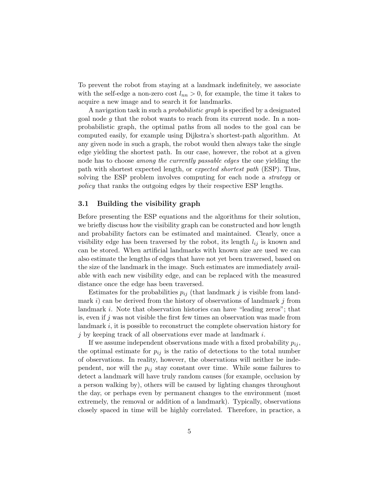To prevent the robot from staying at a landmark indefinitely, we associate with the self-edge a non-zero cost  $l_{nn} > 0$ , for example, the time it takes to acquire a new image and to search it for landmarks.

A navigation task in such a *probabilistic graph* is specified by a designated goal node  $g$  that the robot wants to reach from its current node. In a nonprobabilistic graph, the optimal paths from all nodes to the goal can be computed easily, for example using Dijkstra's shortest-path algorithm. At any given node in such a graph, the robot would then always take the single edge yielding the shortest path. In our case, however, the robot at a given node has to choose *among the currently passable edges* the one yielding the path with shortest expected length, or *expected shortest path* (ESP). Thus, solving the ESP problem involves computing for each node a *strategy* or *policy* that ranks the outgoing edges by their respective ESP lengths.

### **3.1 Building the visibility graph**

Before presenting the ESP equations and the algorithms for their solution, we briefly discuss how the visibility graph can be constructed and how length and probability factors can be estimated and maintained. Clearly, once a visibility edge has been traversed by the robot, its length  $l_{ij}$  is known and can be stored. When artificial landmarks with known size are used we can also estimate the lengths of edges that have not yet been traversed, based on the size of the landmark in the image. Such estimates are immediately available with each new visibility edge, and can be replaced with the measured distance once the edge has been traversed.

Estimates for the probabilities  $p_{ij}$  (that landmark j is visible from landmark i) can be derived from the history of observations of landmark j from landmark i. Note that observation histories can have "leading zeros"; that is, even if j was not visible the first few times an observation was made from landmark  $i$ , it is possible to reconstruct the complete observation history for j by keeping track of all observations ever made at landmark  $i$ .

If we assume independent observations made with a fixed probability  $p_{ij}$ , the optimal estimate for  $p_{ij}$  is the ratio of detections to the total number of observations. In reality, however, the observations will neither be independent, nor will the  $p_{ij}$  stay constant over time. While some failures to detect a landmark will have truly random causes (for example, occlusion by a person walking by), others will be caused by lighting changes throughout the day, or perhaps even by permanent changes to the environment (most extremely, the removal or addition of a landmark). Typically, observations closely spaced in time will be highly correlated. Therefore, in practice, a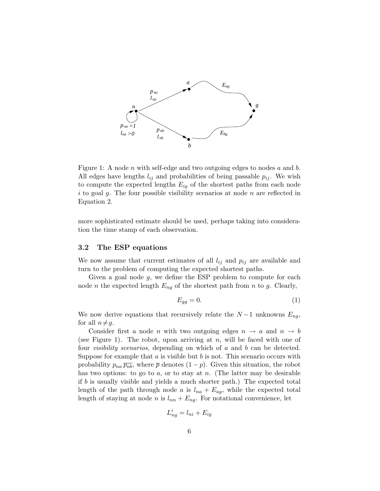

Figure 1: A node *n* with self-edge and two outgoing edges to nodes  $a$  and  $b$ . All edges have lengths  $l_{ij}$  and probabilities of being passable  $p_{ij}$ . We wish to compute the expected lengths  $E_{iq}$  of the shortest paths from each node i to goal g. The four possible visibility scenarios at node  $n$  are reflected in Equation 2.

more sophisticated estimate should be used, perhaps taking into consideration the time stamp of each observation.

### **3.2 The ESP equations**

We now assume that current estimates of all  $l_{ij}$  and  $p_{ij}$  are available and turn to the problem of computing the expected shortest paths.

Given a goal node g, we define the ESP problem to compute for each node *n* the expected length  $E_{ng}$  of the shortest path from *n* to *g*. Clearly,

$$
E_{gg} = 0.\t\t(1)
$$

We now derive equations that recursively relate the  $N-1$  unknowns  $E_{nq}$ , for all  $n \neq g$ .

Consider first a node *n* with two outgoing edges  $n \rightarrow a$  and  $n \rightarrow b$ (see Figure 1). The robot, upon arriving at  $n$ , will be faced with one of four *visibility scenarios*, depending on which of a and b can be detected. Suppose for example that  $a$  is visible but  $b$  is not. This scenario occurs with probability  $p_{na} \overline{p_{nb}}$ , where  $\overline{p}$  denotes  $(1 - p)$ . Given this situation, the robot has two options: to go to a, or to stay at n. (The latter may be desirable if b is usually visible and yields a much shorter path.) The expected total length of the path through node a is  $l_{na} + E_{ag}$ , while the expected total length of staying at node n is  $l_{nn} + E_{ng}$ . For notational convenience, let

$$
L_{ng}^i = l_{ni} + E_{ig}
$$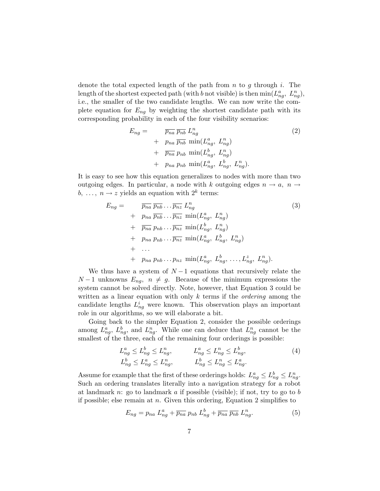denote the total expected length of the path from  $n$  to  $g$  through  $i$ . The length of the shortest expected path (with b not visible) is then  $\min(L_{ng}^a, L_{ng}^n)$ , i.e., the smaller of the two candidate lengths. We can now write the complete equation for  $E_{na}$  by weighting the shortest candidate path with its corresponding probability in each of the four visibility scenarios:

$$
E_{ng} = \frac{\overline{p_{na}} \ \overline{p_{nb}} \ L_{ng}^n}{\overline{p_{nb}} \ \min(L_{ng}^a, \ L_{ng}^n)}
$$
  
+ 
$$
\frac{\overline{p_{na}} \ \overline{p_{nb}} \ \min(L_{ng}^b, \ L_{ng}^n)}{\overline{p_{na}} \ p_{nb} \ \min(L_{ng}^a, \ L_{ng}^b, \ L_{ng}^n)}.
$$
 (2)

It is easy to see how this equation generalizes to nodes with more than two outgoing edges. In particular, a node with k outgoing edges  $n \to a$ ,  $n \to a$ b, ...,  $n \to z$  yields an equation with  $2^k$  terms:

$$
E_{ng} = \overline{p_{na}} \overline{p_{nb}} \dots \overline{p_{nz}} L_{ng}^n
$$
  
+  $p_{na} \overline{p_{nb}} \dots \overline{p_{nz}} \min(L_{ng}^a, L_{ng}^n)$   
+  $\overline{p_{na}} p_{nb} \dots \overline{p_{nz}} \min(L_{ng}^b, L_{ng}^n)$   
+  $p_{na} p_{nb} \dots \overline{p_{nz}} \min(L_{ng}^a, L_{ng}^b, L_{ng}^n)$   
+ ...  
+  $p_{na} p_{nb} \dots p_{nz} \min(L_{ng}^a, L_{ng}^b, \dots, L_{ng}^z, L_{ng}^n).$  (3)

We thus have a system of  $N-1$  equations that recursively relate the  $N-1$  unknowns  $E_{ng}, n \neq g$ . Because of the minimum expressions the system cannot be solved directly. Note, however, that Equation 3 could be written as a linear equation with only k terms if the *ordering* among the candidate lengths  $L_{ng}^i$  were known. This observation plays an important role in our algorithms, so we will elaborate a bit.

Going back to the simpler Equation 2, consider the possible orderings among  $L_{ng}^a$ ,  $L_{ng}^b$ , and  $L_{ng}^n$ . While one can deduce that  $L_{ng}^n$  cannot be the smallest of the three, each of the remaining four orderings is possible:

$$
L_{ng}^a \le L_{ng}^b \le L_{ng}^n, \qquad L_{ng}^a \le L_{ng}^n \le L_{ng}^b,
$$
  
\n
$$
L_{ng}^b \le L_{ng}^a \le L_{ng}^n, \qquad L_{ng}^b \le L_{ng}^n \le L_{ng}^a.
$$
  
\n(4)

Assume for example that the first of these orderings holds:  $L_{ng}^a \leq L_{ng}^b \leq L_{ng}^n$ . Such an ordering translates literally into a navigation strategy for a robot at landmark n: go to landmark a if possible (visible); if not, try to go to b if possible; else remain at n. Given this ordering, Equation 2 simplifies to

$$
E_{ng} = p_{na} L_{ng}^a + \overline{p_{na}} p_{nb} L_{ng}^b + \overline{p_{na}} \overline{p_{nb}} L_{ng}^n.
$$
 (5)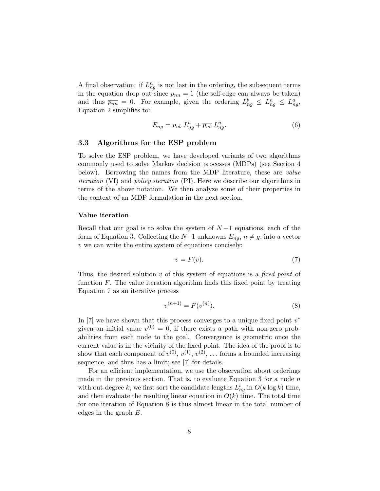A final observation: if  $L_{ng}^n$  is not last in the ordering, the subsequent terms in the equation drop out since  $p_{nn} = 1$  (the self-edge can always be taken) and thus  $\overline{p_{nn}} = 0$ . For example, given the ordering  $L_{ng}^b \leq L_{ng}^n \leq L_{ng}^a$ , Equation 2 simplifies to:

$$
E_{ng} = p_{nb} L_{ng}^b + \overline{p_{nb}} L_{ng}^n.
$$
 (6)

### **3.3 Algorithms for the ESP problem**

To solve the ESP problem, we have developed variants of two algorithms commonly used to solve Markov decision processes (MDPs) (see Section 4 below). Borrowing the names from the MDP literature, these are *value iteration* (VI) and *policy iteration* (PI). Here we describe our algorithms in terms of the above notation. We then analyze some of their properties in the context of an MDP formulation in the next section.

#### **Value iteration**

Recall that our goal is to solve the system of  $N-1$  equations, each of the form of Equation 3. Collecting the  $N-1$  unknowns  $E_{ng}$ ,  $n \neq g$ , into a vector  $v$  we can write the entire system of equations concisely:

$$
v = F(v). \tag{7}
$$

Thus, the desired solution v of this system of equations is a *fixed point* of function  $F$ . The value iteration algorithm finds this fixed point by treating Equation 7 as an iterative process

$$
v^{(n+1)} = F(v^{(n)}).
$$
\n(8)

In [7] we have shown that this process converges to a unique fixed point  $v^*$ given an initial value  $v^{(0)} = 0$ , if there exists a path with non-zero probabilities from each node to the goal. Convergence is geometric once the current value is in the vicinity of the fixed point. The idea of the proof is to show that each component of  $v^{(0)}$ ,  $v^{(1)}$ ,  $v^{(2)}$ , ... forms a bounded increasing sequence, and thus has a limit; see [7] for details.

For an efficient implementation, we use the observation about orderings made in the previous section. That is, to evaluate Equation 3 for a node  $n$ with out-degree k, we first sort the candidate lengths  $L_{ng}^i$  in  $O(k \log k)$  time, and then evaluate the resulting linear equation in  $O(k)$  time. The total time for one iteration of Equation 8 is thus almost linear in the total number of edges in the graph E.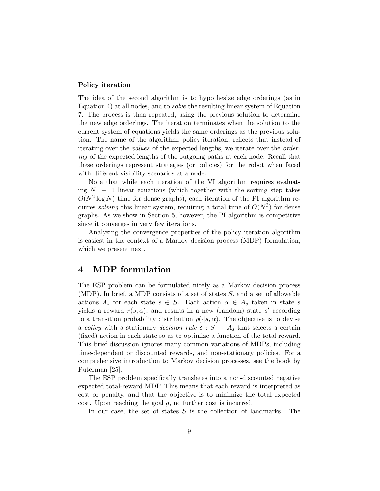#### **Policy iteration**

The idea of the second algorithm is to hypothesize edge orderings (as in Equation 4) at all nodes, and to *solve* the resulting linear system of Equation 7. The process is then repeated, using the previous solution to determine the new edge orderings. The iteration terminates when the solution to the current system of equations yields the same orderings as the previous solution. The name of the algorithm, policy iteration, reflects that instead of iterating over the *values* of the expected lengths, we iterate over the *ordering* of the expected lengths of the outgoing paths at each node. Recall that these orderings represent strategies (or policies) for the robot when faced with different visibility scenarios at a node.

Note that while each iteration of the VI algorithm requires evaluating  $N - 1$  linear equations (which together with the sorting step takes  $O(N^2 \log N)$  time for dense graphs), each iteration of the PI algorithm requires *solving* this linear system, requiring a total time of  $O(N^3)$  for dense graphs. As we show in Section 5, however, the PI algorithm is competitive since it converges in very few iterations.

Analyzing the convergence properties of the policy iteration algorithm is easiest in the context of a Markov decision process (MDP) formulation, which we present next.

# **4 MDP formulation**

The ESP problem can be formulated nicely as a Markov decision process (MDP). In brief, a MDP consists of a set of states  $S$ , and a set of allowable actions  $A_s$  for each state  $s \in S$ . Each action  $\alpha \in A_s$  taken in state s yields a reward  $r(s, \alpha)$ , and results in a new (random) state s' according to a transition probability distribution  $p(\cdot|s,\alpha)$ . The objective is to devise a *policy* with a stationary *decision rule*  $\delta : S \to A_s$  that selects a certain (fixed) action in each state so as to optimize a function of the total reward. This brief discussion ignores many common variations of MDPs, including time-dependent or discounted rewards, and non-stationary policies. For a comprehensive introduction to Markov decision processes, see the book by Puterman [25].

The ESP problem specifically translates into a non-discounted negative expected total-reward MDP. This means that each reward is interpreted as cost or penalty, and that the objective is to minimize the total expected cost. Upon reaching the goal g, no further cost is incurred.

In our case, the set of states  $S$  is the collection of landmarks. The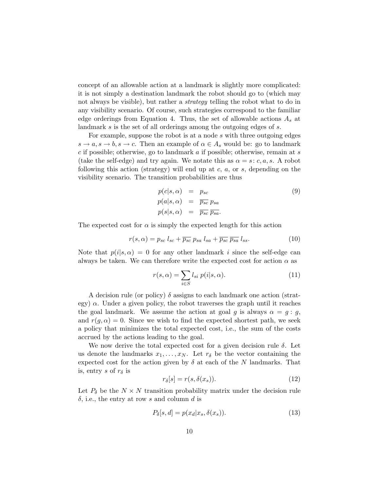concept of an allowable action at a landmark is slightly more complicated: it is not simply a destination landmark the robot should go to (which may not always be visible), but rather a *strategy* telling the robot what to do in any visibility scenario. Of course, such strategies correspond to the familiar edge orderings from Equation 4. Thus, the set of allowable actions  $A_s$  at landmark s is the set of all orderings among the outgoing edges of s.

For example, suppose the robot is at a node s with three outgoing edges  $s \to a, s \to b, s \to c$ . Then an example of  $\alpha \in A_s$  would be: go to landmark  $c$  if possible; otherwise, go to landmark  $a$  if possible; otherwise, remain at  $s$ (take the self-edge) and try again. We notate this as  $\alpha = s : c, a, s$ . A robot following this action (strategy) will end up at  $c, a,$  or  $s,$  depending on the visibility scenario. The transition probabilities are thus

$$
p(c|s,\alpha) = p_{sc}
$$
  
\n
$$
p(a|s,\alpha) = \overline{p_{sc}} p_{sa}
$$
  
\n
$$
p(s|s,\alpha) = \overline{p_{sc}} \overline{p_{sa}}.
$$
\n(9)

The expected cost for  $\alpha$  is simply the expected length for this action

$$
r(s,\alpha) = p_{sc} l_{sc} + \overline{p_{sc}} p_{sa} l_{sa} + \overline{p_{sc}} \overline{p_{sa}} l_{ss}.
$$
 (10)

Note that  $p(i|s,\alpha) = 0$  for any other landmark i since the self-edge can always be taken. We can therefore write the expected cost for action  $\alpha$  as

$$
r(s,\alpha) = \sum_{i \in S} l_{si} \ p(i|s,\alpha). \tag{11}
$$

A decision rule (or policy)  $\delta$  assigns to each landmark one action (strategy)  $\alpha$ . Under a given policy, the robot traverses the graph until it reaches the goal landmark. We assume the action at goal q is always  $\alpha = q : q$ , and  $r(g, \alpha) = 0$ . Since we wish to find the expected shortest path, we seek a policy that minimizes the total expected cost, i.e., the sum of the costs accrued by the actions leading to the goal.

We now derive the total expected cost for a given decision rule  $\delta$ . Let us denote the landmarks  $x_1, \ldots, x_N$ . Let  $r_\delta$  be the vector containing the expected cost for the action given by  $\delta$  at each of the N landmarks. That is, entry s of  $r_\delta$  is

$$
r_{\delta}[s] = r(s, \delta(x_s)).
$$
\n(12)

Let  $P_{\delta}$  be the  $N \times N$  transition probability matrix under the decision rule  $\delta$ , i.e., the entry at row s and column d is

$$
P_{\delta}[s, d] = p(x_d | x_s, \delta(x_s)).
$$
\n(13)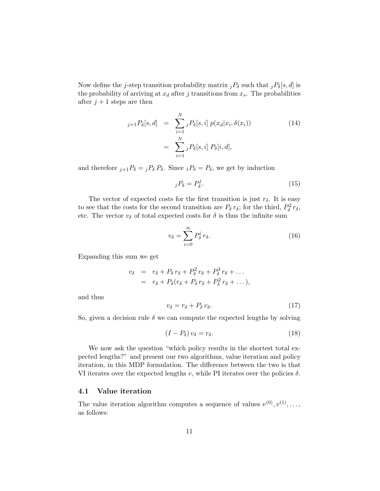Now define the j-step transition probability matrix  ${}_{j}P_{\delta}$  such that  ${}_{j}P_{\delta}[s, d]$  is the probability of arriving at  $x_d$  after j transitions from  $x_s$ . The probabilities after  $j + 1$  steps are then

$$
j_{j+1}P_{\delta}[s,d] = \sum_{i=1}^{N} {}_{j}P_{\delta}[s,i] p(x_{d}|x_{i}, \delta(x_{i}))
$$
\n
$$
= \sum_{i=1}^{N} {}_{j}P_{\delta}[s,i] P_{\delta}[i,d],
$$
\n(14)

and therefore  $_{j+1}P_{\delta} = {}_{j}P_{\delta}P_{\delta}$ . Since  $_{1}P_{\delta} = P_{\delta}$ , we get by induction

$$
{}_{j}P_{\delta} = P_{\delta}^{j}.\tag{15}
$$

The vector of expected costs for the first transition is just  $r_{\delta}$ . It is easy to see that the costs for the second transition are  $P_\delta r_\delta$ ; for the third,  $P_\delta^2 r_\delta$ , etc. The vector  $v_\delta$  of total expected costs for  $\delta$  is thus the infinite sum

$$
v_{\delta} = \sum_{i=0}^{\infty} P_{\delta}^{i} r_{\delta}.
$$
 (16)

Expanding this sum we get

$$
v_{\delta} = r_{\delta} + P_{\delta} r_{\delta} + P_{\delta}^2 r_{\delta} + P_{\delta}^3 r_{\delta} + \dots
$$
  
=  $r_{\delta} + P_{\delta} (r_{\delta} + P_{\delta} r_{\delta} + P_{\delta}^2 r_{\delta} + \dots),$ 

and thus

$$
v_{\delta} = r_{\delta} + P_{\delta} v_{\delta}.
$$
\n<sup>(17)</sup>

So, given a decision rule  $\delta$  we can compute the expected lengths by solving

$$
(I - P_{\delta}) v_{\delta} = r_{\delta}.
$$
\n(18)

We now ask the question "which policy results in the shortest total expected lengths?" and present our two algorithms, value iteration and policy iteration, in this MDP formulation. The difference between the two is that VI iterates over the expected lengths v, while PI iterates over the policies  $\delta$ .

### **4.1 Value iteration**

The value iteration algorithm computes a sequence of values  $v^{(0)}, v^{(1)}, \ldots$ , as follows: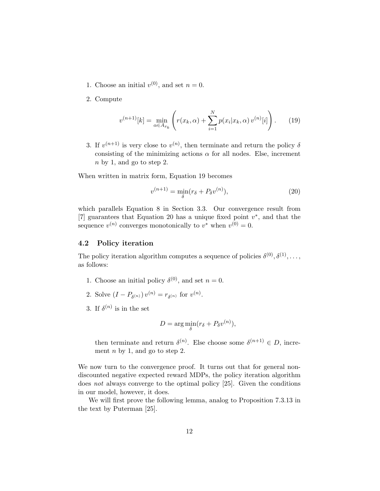- 1. Choose an initial  $v^{(0)}$ , and set  $n = 0$ .
- 2. Compute

$$
v^{(n+1)}[k] = \min_{\alpha \in A_{x_k}} \left( r(x_k, \alpha) + \sum_{i=1}^N p(x_i | x_k, \alpha) v^{(n)}[i] \right).
$$
 (19)

3. If  $v^{(n+1)}$  is very close to  $v^{(n)}$ , then terminate and return the policy  $\delta$ consisting of the minimizing actions  $\alpha$  for all nodes. Else, increment n by 1, and go to step 2.

When written in matrix form, Equation 19 becomes

$$
v^{(n+1)} = \min_{\delta}(r_{\delta} + P_{\delta}v^{(n)}),\tag{20}
$$

which parallels Equation 8 in Section 3.3. Our convergence result from [7] guarantees that Equation 20 has a unique fixed point v∗, and that the sequence  $v^{(n)}$  converges monotonically to  $v^*$  when  $v^{(0)} = 0$ .

### **4.2 Policy iteration**

The policy iteration algorithm computes a sequence of policies  $\delta^{(0)}, \delta^{(1)},\ldots$ , as follows:

- 1. Choose an initial policy  $\delta^{(0)}$ , and set  $n = 0$ .
- 2. Solve  $(I P_{\delta^{(n)}}) v^{(n)} = r_{\delta^{(n)}}$  for  $v^{(n)}$ .
- 3. If  $\delta^{(n)}$  is in the set

$$
D = \arg\min_{\delta}(r_{\delta} + P_{\delta}v^{(n)}),
$$

then terminate and return  $\delta^{(n)}$ . Else choose some  $\delta^{(n+1)} \in D$ , increment  $n$  by 1, and go to step 2.

We now turn to the convergence proof. It turns out that for general nondiscounted negative expected reward MDPs, the policy iteration algorithm does *not* always converge to the optimal policy [25]. Given the conditions in our model, however, it does.

We will first prove the following lemma, analog to Proposition 7.3.13 in the text by Puterman [25].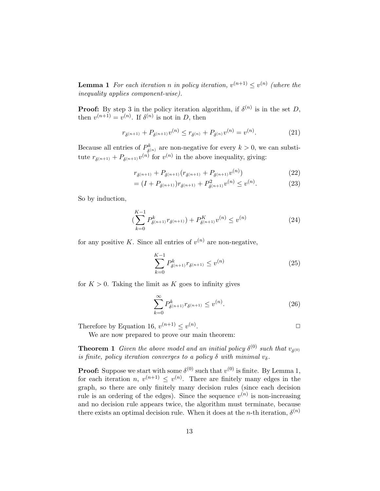**Lemma 1** *For each iteration n in policy iteration,*  $v^{(n+1)} \le v^{(n)}$  *(where the inequality applies component-wise).*

**Proof:** By step 3 in the policy iteration algorithm, if  $\delta^{(n)}$  is in the set D, then  $v^{(n+1)} = v^{(n)}$ . If  $\delta^{(n)}$  is not in D, then

$$
r_{\delta^{(n+1)}} + P_{\delta^{(n+1)}} v^{(n)} \le r_{\delta^{(n)}} + P_{\delta^{(n)}} v^{(n)} = v^{(n)}.
$$
 (21)

Because all entries of  $P^k_{\delta^{(n)}}$  are non-negative for every  $k > 0$ , we can substitute  $r_{\delta^{(n+1)}} + P_{\delta^{(n+1)}}v^{(n)}$  for  $v^{(n)}$  in the above inequality, giving:

$$
r_{\delta^{(n+1)}} + P_{\delta^{(n+1)}}(r_{\delta^{(n+1)}} + P_{\delta^{(n+1)}}v^{(n)})
$$
\n(22)

$$
= (I + P_{\delta^{(n+1)}}) r_{\delta^{(n+1)}} + P_{\delta^{(n+1)}}^2 v^{(n)} \le v^{(n)}.
$$
 (23)

So by induction,

$$
\left(\sum_{k=0}^{K-1} P_{\delta^{(n+1)}}^k r_{\delta^{(n+1)}}\right) + P_{\delta^{(n+1)}}^K v^{(n)} \le v^{(n)}\tag{24}
$$

for any positive K. Since all entries of  $v^{(n)}$  are non-negative,

$$
\sum_{k=0}^{K-1} P_{\delta^{(n+1)}}^k r_{\delta^{(n+1)}} \le v^{(n)} \tag{25}
$$

for  $K > 0$ . Taking the limit as K goes to infinity gives

$$
\sum_{k=0}^{\infty} P_{\delta^{(n+1)}}^k r_{\delta^{(n+1)}} \le v^{(n)}.
$$
\n(26)

.  $\Box$ 

Therefore by Equation 16,  $v^{(n+1)} < v^{(n)}$ .

We are now prepared to prove our main theorem:

**Theorem 1** *Given the above model and an initial policy*  $\delta^{(0)}$  *such that*  $v_{\delta^{(0)}}$ *is finite, policy iteration converges to a policy*  $\delta$  *with minimal*  $v_{\delta}$ *.* 

**Proof:** Suppose we start with some  $\delta^{(0)}$  such that  $v^{(0)}$  is finite. By Lemma 1, for each iteration  $n, v^{(n+1)} \leq v^{(n)}$ . There are finitely many edges in the graph, so there are only finitely many decision rules (since each decision rule is an ordering of the edges). Since the sequence  $v^{(n)}$  is non-increasing and no decision rule appears twice, the algorithm must terminate, because there exists an optimal decision rule. When it does at the *n*-th iteration,  $\delta^{(n)}$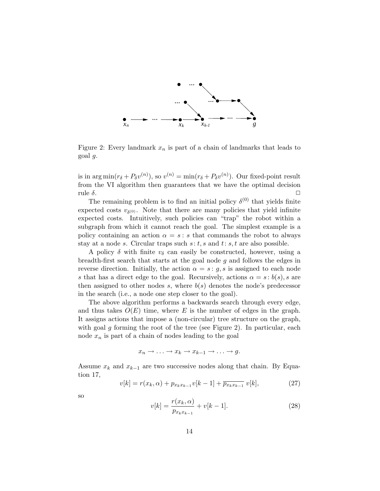

Figure 2: Every landmark  $x_n$  is part of a chain of landmarks that leads to goal g.

is in  $\arg \min(r_\delta + P_\delta v^{(n)})$ , so  $v^{(n)} = \min(r_\delta + P_\delta v^{(n)})$ . Our fixed-point result from the VI algorithm then guarantees that we have the optimal decision rule  $\delta$ .

The remaining problem is to find an initial policy  $\delta^{(0)}$  that yields finite expected costs  $v_{\delta(0)}$ . Note that there are many policies that yield infinite expected costs. Intuitively, such policies can "trap" the robot within a subgraph from which it cannot reach the goal. The simplest example is a policy containing an action  $\alpha = s$ : s that commands the robot to always stay at a node s. Circular traps such  $s: t, s$  and  $t: s, t$  are also possible.

A policy  $\delta$  with finite  $v_{\delta}$  can easily be constructed, however, using a breadth-first search that starts at the goal node g and follows the edges in reverse direction. Initially, the action  $\alpha = s : g, s$  is assigned to each node s that has a direct edge to the goal. Recursively, actions  $\alpha = s : b(s)$ , s are then assigned to other nodes s, where  $b(s)$  denotes the node's predecessor in the search (i.e., a node one step closer to the goal).

The above algorithm performs a backwards search through every edge, and thus takes  $O(E)$  time, where E is the number of edges in the graph. It assigns actions that impose a (non-circular) tree structure on the graph, with goal g forming the root of the tree (see Figure 2). In particular, each node  $x_n$  is part of a chain of nodes leading to the goal

 $x_n \to \ldots \to x_k \to x_{k-1} \to \ldots \to g.$ 

Assume  $x_k$  and  $x_{k-1}$  are two successive nodes along that chain. By Equation 17,

$$
v[k] = r(x_k, \alpha) + p_{x_k x_{k-1}} v[k-1] + \overline{p_{x_k x_{k-1}}} v[k],
$$
\n(27)

so

$$
v[k] = \frac{r(x_k, \alpha)}{p_{x_k x_{k-1}}} + v[k-1].
$$
\n(28)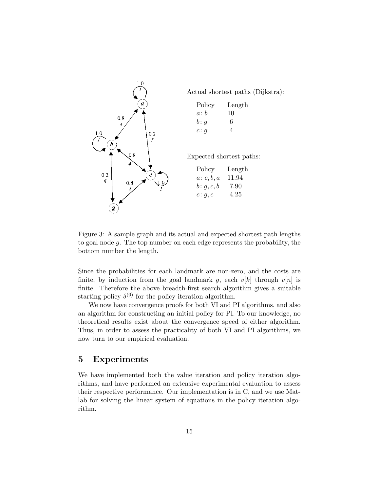

Figure 3: A sample graph and its actual and expected shortest path lengths to goal node g. The top number on each edge represents the probability, the bottom number the length.

Since the probabilities for each landmark are non-zero, and the costs are finite, by induction from the goal landmark g, each  $v[k]$  through  $v[n]$  is finite. Therefore the above breadth-first search algorithm gives a suitable starting policy  $\delta^{(0)}$  for the policy iteration algorithm.

We now have convergence proofs for both VI and PI algorithms, and also an algorithm for constructing an initial policy for PI. To our knowledge, no theoretical results exist about the convergence speed of either algorithm. Thus, in order to assess the practicality of both VI and PI algorithms, we now turn to our empirical evaluation.

# **5 Experiments**

We have implemented both the value iteration and policy iteration algorithms, and have performed an extensive experimental evaluation to assess their respective performance. Our implementation is in C, and we use Matlab for solving the linear system of equations in the policy iteration algorithm.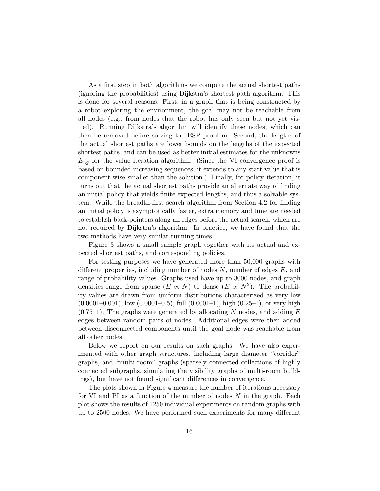As a first step in both algorithms we compute the actual shortest paths (ignoring the probabilities) using Dijkstra's shortest path algorithm. This is done for several reasons: First, in a graph that is being constructed by a robot exploring the environment, the goal may not be reachable from all nodes (e.g., from nodes that the robot has only seen but not yet visited). Running Dijkstra's algorithm will identify these nodes, which can then be removed before solving the ESP problem. Second, the lengths of the actual shortest paths are lower bounds on the lengths of the expected shortest paths, and can be used as better initial estimates for the unknowns  $E_{nq}$  for the value iteration algorithm. (Since the VI convergence proof is based on bounded increasing sequences, it extends to any start value that is component-wise smaller than the solution.) Finally, for policy iteration, it turns out that the actual shortest paths provide an alternate way of finding an initial policy that yields finite expected lengths, and thus a solvable system. While the breadth-first search algorithm from Section 4.2 for finding an initial policy is asymptotically faster, extra memory and time are needed to establish back-pointers along all edges before the actual search, which are not required by Dijkstra's algorithm. In practice, we have found that the two methods have very similar running times.

Figure 3 shows a small sample graph together with its actual and expected shortest paths, and corresponding policies.

For testing purposes we have generated more than 50,000 graphs with different properties, including number of nodes  $N$ , number of edges  $E$ , and range of probability values. Graphs used have up to 3000 nodes, and graph densities range from sparse  $(E \propto N)$  to dense  $(E \propto N^2)$ . The probability values are drawn from uniform distributions characterized as very low  $(0.0001-0.001)$ , low  $(0.0001-0.5)$ , full  $(0.0001-1)$ , high  $(0.25-1)$ , or very high  $(0.75-1)$ . The graphs were generated by allocating N nodes, and adding E edges between random pairs of nodes. Additional edges were then added between disconnected components until the goal node was reachable from all other nodes.

Below we report on our results on such graphs. We have also experimented with other graph structures, including large diameter "corridor" graphs, and "multi-room" graphs (sparsely connected collections of highly connected subgraphs, simulating the visibility graphs of multi-room buildings), but have not found significant differences in convergence.

The plots shown in Figure 4 measure the number of iterations necessary for VI and PI as a function of the number of nodes  $N$  in the graph. Each plot shows the results of 1250 individual experiments on random graphs with up to 2500 nodes. We have performed such experiments for many different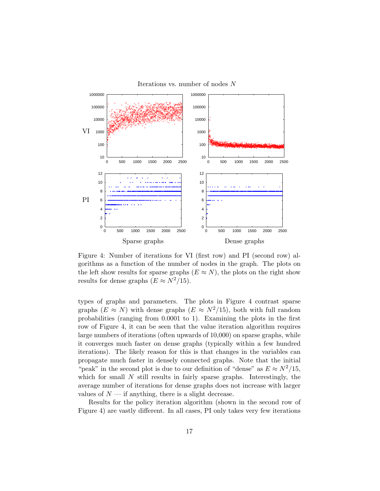



Figure 4: Number of iterations for VI (first row) and PI (second row) algorithms as a function of the number of nodes in the graph. The plots on the left show results for sparse graphs  $(E \approx N)$ , the plots on the right show results for dense graphs  $(E \approx N^2/15)$ .

types of graphs and parameters. The plots in Figure 4 contrast sparse graphs  $(E \approx N)$  with dense graphs  $(E \approx N^2/15)$ , both with full random probabilities (ranging from 0.0001 to 1). Examining the plots in the first row of Figure 4, it can be seen that the value iteration algorithm requires large numbers of iterations (often upwards of 10,000) on sparse graphs, while it converges much faster on dense graphs (typically within a few hundred iterations). The likely reason for this is that changes in the variables can propagate much faster in densely connected graphs. Note that the initial "peak" in the second plot is due to our definition of "dense" as  $E \approx N^2/15$ , which for small  $N$  still results in fairly sparse graphs. Interestingly, the average number of iterations for dense graphs does not increase with larger values of  $N$  — if anything, there is a slight decrease.

Results for the policy iteration algorithm (shown in the second row of Figure 4) are vastly different. In all cases, PI only takes very few iterations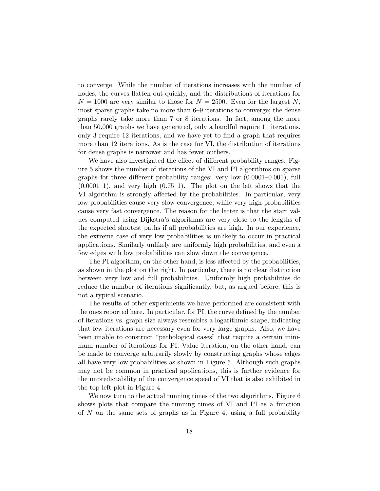to converge. While the number of iterations increases with the number of nodes, the curves flatten out quickly, and the distributions of iterations for  $N = 1000$  are very similar to those for  $N = 2500$ . Even for the largest N, most sparse graphs take no more than 6–9 iterations to converge; the dense graphs rarely take more than 7 or 8 iterations. In fact, among the more than 50,000 graphs we have generated, only a handful require 11 iterations, only 3 require 12 iterations, and we have yet to find a graph that requires more than 12 iterations. As is the case for VI, the distribution of iterations for dense graphs is narrower and has fewer outliers.

We have also investigated the effect of different probability ranges. Figure 5 shows the number of iterations of the VI and PI algorithms on sparse graphs for three different probability ranges: very low (0.0001–0.001), full  $(0.0001-1)$ , and very high  $(0.75-1)$ . The plot on the left shows that the VI algorithm is strongly affected by the probabilities. In particular, very low probabilities cause very slow convergence, while very high probabilities cause very fast convergence. The reason for the latter is that the start values computed using Dijkstra's algorithms are very close to the lengths of the expected shortest paths if all probabilities are high. In our experience, the extreme case of very low probabilities is unlikely to occur in practical applications. Similarly unlikely are uniformly high probabilities, and even a few edges with low probabilities can slow down the convergence.

The PI algorithm, on the other hand, is less affected by the probabilities, as shown in the plot on the right. In particular, there is no clear distinction between very low and full probabilities. Uniformly high probabilities do reduce the number of iterations significantly, but, as argued before, this is not a typical scenario.

The results of other experiments we have performed are consistent with the ones reported here. In particular, for PI, the curve defined by the number of iterations vs. graph size always resembles a logarithmic shape, indicating that few iterations are necessary even for very large graphs. Also, we have been unable to construct "pathological cases" that require a certain minimum number of iterations for PI. Value iteration, on the other hand, can be made to converge arbitrarily slowly by constructing graphs whose edges all have very low probabilities as shown in Figure 5. Although such graphs may not be common in practical applications, this is further evidence for the unpredictability of the convergence speed of VI that is also exhibited in the top left plot in Figure 4.

We now turn to the actual running times of the two algorithms. Figure 6 shows plots that compare the running times of VI and PI as a function of  $N$  on the same sets of graphs as in Figure 4, using a full probability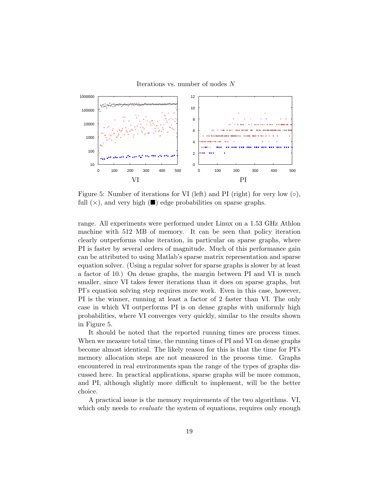Iterations vs. number of nodes N



Figure 5: Number of iterations for VI (left) and PI (right) for very low (◦), full  $(x)$ , and very high  $(\blacksquare)$  edge probabilities on sparse graphs.

range. All experiments were performed under Linux on a 1.53 GHz Athlon machine with 512 MB of memory. It can be seen that policy iteration clearly outperforms value iteration, in particular on sparse graphs, where PI is faster by several orders of magnitude. Much of this performance gain can be attributed to using Matlab's sparse matrix representation and sparse equation solver. (Using a regular solver for sparse graphs is slower by at least a factor of 10.) On dense graphs, the margin between PI and VI is much smaller, since VI takes fewer iterations than it does on sparse graphs, but PI's equation solving step requires more work. Even in this case, however, PI is the winner, running at least a factor of 2 faster than VI. The only case in which VI outperforms PI is on dense graphs with uniformly high probabilities, where VI converges very quickly, similar to the results shown in Figure 5.

It should be noted that the reported running times are process times. When we measure total time, the running times of PI and VI on dense graphs become almost identical. The likely reason for this is that the time for PI's memory allocation steps are not measured in the process time. Graphs encountered in real environments span the range of the types of graphs discussed here. In practical applications, sparse graphs will be more common, and PI, although slightly more difficult to implement, will be the better choice.

A practical issue is the memory requirements of the two algorithms. VI, which only needs to *evaluate* the system of equations, requires only enough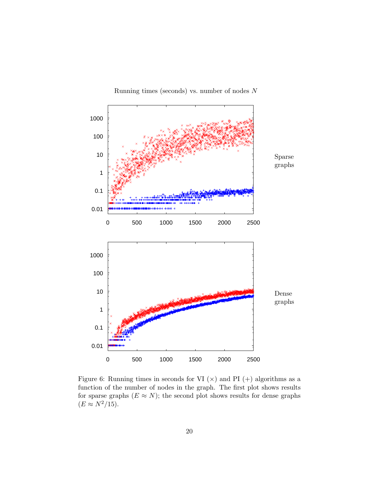

Running times (seconds) vs. number of nodes N

Figure 6: Running times in seconds for VI  $(x)$  and PI  $(+)$  algorithms as a function of the number of nodes in the graph. The first plot shows results for sparse graphs  $(E \approx N)$ ; the second plot shows results for dense graphs  $(E \approx N^2/15).$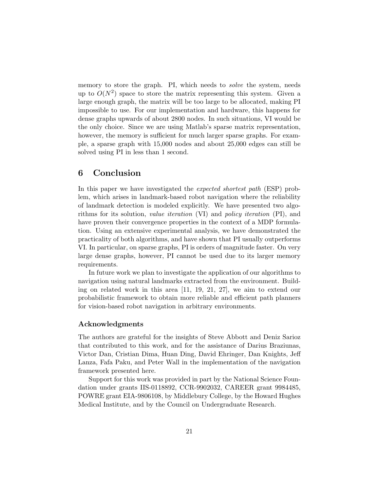memory to store the graph. PI, which needs to *solve* the system, needs up to  $O(N^2)$  space to store the matrix representing this system. Given a large enough graph, the matrix will be too large to be allocated, making PI impossible to use. For our implementation and hardware, this happens for dense graphs upwards of about 2800 nodes. In such situations, VI would be the only choice. Since we are using Matlab's sparse matrix representation, however, the memory is sufficient for much larger sparse graphs. For example, a sparse graph with 15,000 nodes and about 25,000 edges can still be solved using PI in less than 1 second.

# **6 Conclusion**

In this paper we have investigated the *expected shortest path* (ESP) problem, which arises in landmark-based robot navigation where the reliability of landmark detection is modeled explicitly. We have presented two algorithms for its solution, *value iteration* (VI) and *policy iteration* (PI), and have proven their convergence properties in the context of a MDP formulation. Using an extensive experimental analysis, we have demonstrated the practicality of both algorithms, and have shown that PI usually outperforms VI. In particular, on sparse graphs, PI is orders of magnitude faster. On very large dense graphs, however, PI cannot be used due to its larger memory requirements.

In future work we plan to investigate the application of our algorithms to navigation using natural landmarks extracted from the environment. Building on related work in this area [11, 19, 21, 27], we aim to extend our probabilistic framework to obtain more reliable and efficient path planners for vision-based robot navigation in arbitrary environments.

### **Acknowledgments**

The authors are grateful for the insights of Steve Abbott and Deniz Sarioz that contributed to this work, and for the assistance of Darius Braziunas, Victor Dan, Cristian Dima, Huan Ding, David Ehringer, Dan Knights, Jeff Lanza, Fafa Paku, and Peter Wall in the implementation of the navigation framework presented here.

Support for this work was provided in part by the National Science Foundation under grants IIS-0118892, CCR-9902032, CAREER grant 9984485, POWRE grant EIA-9806108, by Middlebury College, by the Howard Hughes Medical Institute, and by the Council on Undergraduate Research.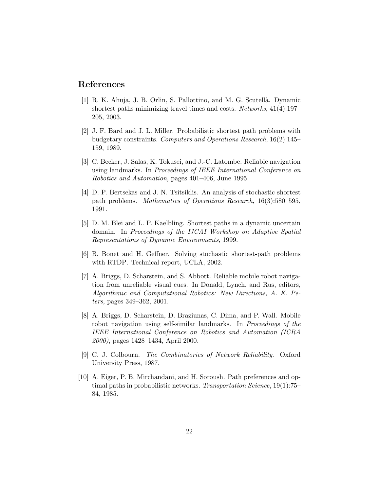# **References**

- [1] R. K. Ahuja, J. B. Orlin, S. Pallottino, and M. G. Scutellà. Dynamic shortest paths minimizing travel times and costs. *Networks*, 41(4):197– 205, 2003.
- [2] J. F. Bard and J. L. Miller. Probabilistic shortest path problems with budgetary constraints. *Computers and Operations Research*, 16(2):145– 159, 1989.
- [3] C. Becker, J. Salas, K. Tokusei, and J.-C. Latombe. Reliable navigation using landmarks. In *Proceedings of IEEE International Conference on Robotics and Automation*, pages 401–406, June 1995.
- [4] D. P. Bertsekas and J. N. Tsitsiklis. An analysis of stochastic shortest path problems. *Mathematics of Operations Research*, 16(3):580–595, 1991.
- [5] D. M. Blei and L. P. Kaelbling. Shortest paths in a dynamic uncertain domain. In *Proceedings of the IJCAI Workshop on Adaptive Spatial Representations of Dynamic Environments*, 1999.
- [6] B. Bonet and H. Geffner. Solving stochastic shortest-path problems with RTDP. Technical report, UCLA, 2002.
- [7] A. Briggs, D. Scharstein, and S. Abbott. Reliable mobile robot navigation from unreliable visual cues. In Donald, Lynch, and Rus, editors, *Algorithmic and Computational Robotics: New Directions, A. K. Peters*, pages 349–362, 2001.
- [8] A. Briggs, D. Scharstein, D. Braziunas, C. Dima, and P. Wall. Mobile robot navigation using self-similar landmarks. In *Proceedings of the IEEE International Conference on Robotics and Automation (ICRA 2000)*, pages 1428–1434, April 2000.
- [9] C. J. Colbourn. *The Combinatorics of Network Reliability*. Oxford University Press, 1987.
- [10] A. Eiger, P. B. Mirchandani, and H. Soroush. Path preferences and optimal paths in probabilistic networks. *Transportation Science*, 19(1):75– 84, 1985.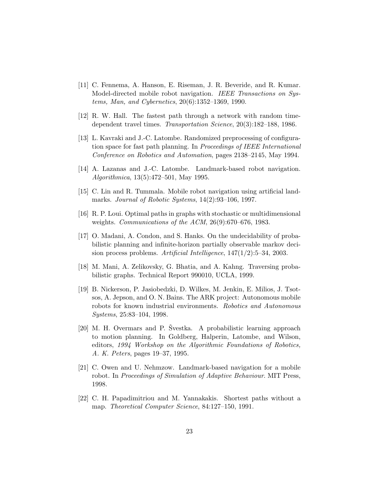- [11] C. Fennema, A. Hanson, E. Riseman, J. R. Beveride, and R. Kumar. Model-directed mobile robot navigation. *IEEE Transactions on Systems, Man, and Cybernetics*, 20(6):1352–1369, 1990.
- [12] R. W. Hall. The fastest path through a network with random timedependent travel times. *Transportation Science*, 20(3):182–188, 1986.
- [13] L. Kavraki and J.-C. Latombe. Randomized preprocessing of configuration space for fast path planning. In *Proceedings of IEEE International Conference on Robotics and Automation*, pages 2138–2145, May 1994.
- [14] A. Lazanas and J.-C. Latombe. Landmark-based robot navigation. *Algorithmica*, 13(5):472–501, May 1995.
- [15] C. Lin and R. Tummala. Mobile robot navigation using artificial landmarks. *Journal of Robotic Systems*, 14(2):93–106, 1997.
- [16] R. P. Loui. Optimal paths in graphs with stochastic or multidimensional weights. *Communications of the ACM*, 26(9):670–676, 1983.
- [17] O. Madani, A. Condon, and S. Hanks. On the undecidability of probabilistic planning and infinite-horizon partially observable markov decision process problems. *Artificial Intelligence*, 147(1/2):5–34, 2003.
- [18] M. Mani, A. Zelikovsky, G. Bhatia, and A. Kahng. Traversing probabilistic graphs. Technical Report 990010, UCLA, 1999.
- [19] B. Nickerson, P. Jasiobedzki, D. Wilkes, M. Jenkin, E. Milios, J. Tsotsos, A. Jepson, and O. N. Bains. The ARK project: Autonomous mobile robots for known industrial environments. *Robotics and Autonomous Systems*, 25:83–104, 1998.
- $[20]$  M. H. Overmars and P. Svestka. A probabilistic learning approach to motion planning. In Goldberg, Halperin, Latombe, and Wilson, editors, *1994 Workshop on the Algorithmic Foundations of Robotics, A. K. Peters*, pages 19–37, 1995.
- [21] C. Owen and U. Nehmzow. Landmark-based navigation for a mobile robot. In *Proceedings of Simulation of Adaptive Behaviour*. MIT Press, 1998.
- [22] C. H. Papadimitriou and M. Yannakakis. Shortest paths without a map. *Theoretical Computer Science*, 84:127–150, 1991.